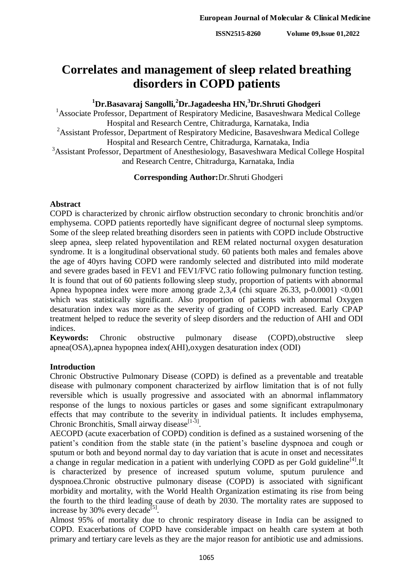# **Correlates and management of sleep related breathing disorders in COPD patients**

## **<sup>1</sup>Dr.Basavaraj Sangolli,<sup>2</sup>Dr.Jagadeesha HN,<sup>3</sup>Dr.Shruti Ghodgeri**

<sup>1</sup> Associate Professor, Department of Respiratory Medicine, Basaveshwara Medical College Hospital and Research Centre, Chitradurga, Karnataka, India

<sup>2</sup>Assistant Professor, Department of Respiratory Medicine, Basaveshwara Medical College Hospital and Research Centre, Chitradurga, Karnataka, India

<sup>3</sup>Assistant Professor, Department of Anesthesiology, Basaveshwara Medical College Hospital and Research Centre, Chitradurga, Karnataka, India

**Corresponding Author:**Dr.Shruti Ghodgeri

## **Abstract**

COPD is characterized by chronic airflow obstruction secondary to chronic bronchitis and/or emphysema. COPD patients reportedly have significant degree of nocturnal sleep symptoms. Some of the sleep related breathing disorders seen in patients with COPD include Obstructive sleep apnea, sleep related hypoventilation and REM related nocturnal oxygen desaturation syndrome. It is a longitudinal observational study. 60 patients both males and females above the age of 40yrs having COPD were randomly selected and distributed into mild moderate and severe grades based in FEV1 and FEV1/FVC ratio following pulmonary function testing. It is found that out of 60 patients following sleep study, proportion of patients with abnormal Apnea hypopnea index were more among grade 2,3,4 (chi square 26.33, p-0.0001) <0.001 which was statistically significant. Also proportion of patients with abnormal Oxygen desaturation index was more as the severity of grading of COPD increased. Early CPAP treatment helped to reduce the severity of sleep disorders and the reduction of AHI and ODI indices.

**Keywords:** Chronic obstructive pulmonary disease (COPD),obstructive sleep apnea(OSA),apnea hypopnea index(AHI),oxygen desaturation index (ODI)

## **Introduction**

Chronic Obstructive Pulmonary Disease (COPD) is defined as a preventable and treatable disease with pulmonary component characterized by airflow limitation that is of not fully reversible which is usually progressive and associated with an abnormal inflammatory response of the lungs to noxious particles or gases and some significant extrapulmonary effects that may contribute to the severity in individual patients. It includes emphysema, Chronic Bronchitis, Small airway disease<sup>[1-3]</sup>.

AECOPD (acute exacerbation of COPD) condition is defined as a sustained worsening of the patient's condition from the stable state (in the patient's baseline dyspnoea and cough or sputum or both and beyond normal day to day variation that is acute in onset and necessitates a change in regular medication in a patient with underlying COPD as per Gold guideline<sup>[4]</sup>. It is characterized by presence of increased sputum volume, sputum purulence and dyspnoea.Chronic obstructive pulmonary disease (COPD) is associated with significant morbidity and mortality, with the World Health Organization estimating its rise from being the fourth to the third leading cause of death by 2030. The mortality rates are supposed to increase by 30% every decade<sup>[5]</sup>.

Almost 95% of mortality due to chronic respiratory disease in India can be assigned to COPD. Exacerbations of COPD have considerable impact on health care system at both primary and tertiary care levels as they are the major reason for antibiotic use and admissions.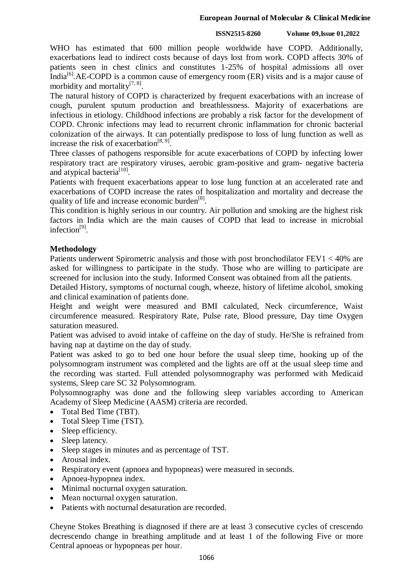#### **ISSN2515-8260 Volume 09,Issue 01,2022**

WHO has estimated that 600 million people worldwide have COPD. Additionally, exacerbations lead to indirect costs because of days lost from work. COPD affects 30% of patients seen in chest clinics and constitutes 1-25% of hospital admissions all over India<sup>[6]</sup>. AE-COPD is a common cause of emergency room (ER) visits and is a major cause of morbidity and mortality<sup>[7, 8]</sup>.

The natural history of COPD is characterized by frequent exacerbations with an increase of cough, purulent sputum production and breathlessness. Majority of exacerbations are infectious in etiology. Childhood infections are probably a risk factor for the development of COPD. Chronic infections may lead to recurrent chronic inflammation for chronic bacterial colonization of the airways. It can potentially predispose to loss of lung function as well as increase the risk of exacerbation<sup>[8, 9]</sup>.

Three classes of pathogens responsible for acute exacerbations of COPD by infecting lower respiratory tract are respiratory viruses, aerobic gram-positive and gram- negative bacteria and atypical bacteria<sup>[10]</sup>.

Patients with frequent exacerbations appear to lose lung function at an accelerated rate and exacerbations of COPD increase the rates of hospitalization and mortality and decrease the quality of life and increase economic burden<sup>[8]</sup>.

This condition is highly serious in our country. Air pollution and smoking are the highest risk factors in India which are the main causes of COPD that lead to increase in microbial infection<sup>[9]</sup>.

## **Methodology**

Patients underwent Spirometric analysis and those with post bronchodilator FEV1 < 40% are asked for willingness to participate in the study. Those who are willing to participate are screened for inclusion into the study. Informed Consent was obtained from all the patients.

Detailed History, symptoms of nocturnal cough, wheeze, history of lifetime alcohol, smoking and clinical examination of patients done.

Height and weight were measured and BMI calculated, Neck circumference, Waist circumference measured. Respiratory Rate, Pulse rate, Blood pressure, Day time Oxygen saturation measured.

Patient was advised to avoid intake of caffeine on the day of study. He/She is refrained from having nap at daytime on the day of study.

Patient was asked to go to bed one hour before the usual sleep time, hooking up of the polysomnogram instrument was completed and the lights are off at the usual sleep time and the recording was started. Full attended polysomnography was performed with Medicaid systems, Sleep care SC 32 Polysomnogram.

Polysomnography was done and the following sleep variables according to American Academy of Sleep Medicine (AASM) criteria are recorded.

- Total Bed Time (TBT).
- Total Sleep Time (TST).
- Sleep efficiency.
- Sleep latency.
- Sleep stages in minutes and as percentage of TST.
- Arousal index.
- Respiratory event (apnoea and hypopneas) were measured in seconds.
- Apnoea-hypopnea index.
- Minimal nocturnal oxygen saturation.
- Mean nocturnal oxygen saturation.
- Patients with nocturnal desaturation are recorded.

Cheyne Stokes Breathing is diagnosed if there are at least 3 consecutive cycles of crescendo decrescendo change in breathing amplitude and at least 1 of the following Five or more Central apnoeas or hypopneas per hour.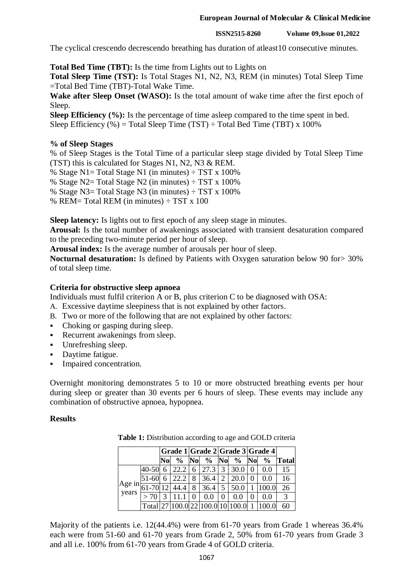**ISSN2515-8260 Volume 09,Issue 01,2022**

The cyclical crescendo decrescendo breathing has duration of atleast10 consecutive minutes.

**Total Bed Time (TBT):** Is the time from Lights out to Lights on

**Total Sleep Time (TST):** Is Total Stages N1, N2, N3, REM (in minutes) Total Sleep Time =Total Bed Time (TBT)-Total Wake Time.

**Wake after Sleep Onset (WASO):** Is the total amount of wake time after the first epoch of Sleep.

**Sleep Efficiency (%):** Is the percentage of time asleep compared to the time spent in bed. Sleep Efficiency (%) = Total Sleep Time (TST)  $\div$  Total Bed Time (TBT) x 100%

### **% of Sleep Stages**

% of Sleep Stages is the Total Time of a particular sleep stage divided by Total Sleep Time (TST) this is calculated for Stages N1, N2, N3 & REM.

% Stage N1= Total Stage N1 (in minutes)  $\div$  TST x 100%

% Stage N2= Total Stage N2 (in minutes)  $\div$  TST x 100%

% Stage N3= Total Stage N3 (in minutes)  $\div$  TST x 100%

% REM= Total REM (in minutes)  $\div$  TST x 100

**Sleep latency:** Is lights out to first epoch of any sleep stage in minutes.

**Arousal:** Is the total number of awakenings associated with transient desaturation compared to the preceding two-minute period per hour of sleep.

**Arousal index:** Is the average number of arousals per hour of sleep.

**Nocturnal desaturation:** Is defined by Patients with Oxygen saturation below 90 for> 30% of total sleep time.

## **Criteria for obstructive sleep apnoea**

Individuals must fulfil criterion A or B, plus criterion C to be diagnosed with OSA:

A. Excessive daytime sleepiness that is not explained by other factors.

- B. Two or more of the following that are not explained by other factors:
- Choking or gasping during sleep.
- Recurrent awakenings from sleep.
- Unrefreshing sleep.
- Daytime fatigue.
- **Impaired concentration.**

Overnight monitoring demonstrates 5 to 10 or more obstructed breathing events per hour during sleep or greater than 30 events per 6 hours of sleep. These events may include any combination of obstructive apnoea, hypopnea.

#### **Results**

|                                       |                                            |     |      |     | Grade 1 Grade 2 Grade 3 Grade 4 |          |               |          |               |               |
|---------------------------------------|--------------------------------------------|-----|------|-----|---------------------------------|----------|---------------|----------|---------------|---------------|
|                                       |                                            | Nol | $\%$ | Nol | $\%$                            | No       | $\frac{6}{9}$ | No       | $\frac{6}{9}$ | Total         |
| Age in $\frac{61-70}{61-70}$<br>years | 40-50                                      |     | 22.2 | 6   | 27.3                            | 3        | 30.0          | 0        | 0.0           | 15            |
|                                       | 51-60                                      |     | 22.2 | 8   | 36.4                            | 2        | 20.0          | $\theta$ | 0.0           | 16            |
|                                       |                                            | 12  | 44.4 | 8   | 36.4                            | 5        | 50.0          |          | 100.0         | 26            |
|                                       |                                            |     |      |     | 0.0                             | $^{(1)}$ | 0.0           | $\theta$ | 0.0           | $\mathcal{R}$ |
|                                       | Total 27   100.0   22   100.0   10   100.0 |     |      |     |                                 |          |               |          |               | 60            |

Table 1: Distribution according to age and GOLD criteria

Majority of the patients i.e. 12(44.4%) were from 61-70 years from Grade 1 whereas 36.4% each were from 51-60 and 61-70 years from Grade 2, 50% from 61-70 years from Grade 3 and all i.e. 100% from 61-70 years from Grade 4 of GOLD criteria.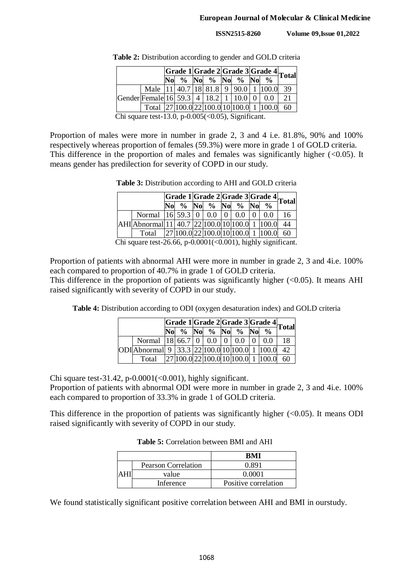|  |                                                            |  |  | $ \overline{\text{Grade}}\ 1 \overline{\text{Grade}}\ 2 \overline{\text{Grade}}\ 3 \overline{\text{Grade}}\ 4 \overline{\text{Total}} $ |  |  |                |  |               |    |
|--|------------------------------------------------------------|--|--|-----------------------------------------------------------------------------------------------------------------------------------------|--|--|----------------|--|---------------|----|
|  |                                                            |  |  |                                                                                                                                         |  |  | % No % No % No |  | $\frac{0}{0}$ |    |
|  | Male   11   40.7   18   81.8   9   90.0                    |  |  |                                                                                                                                         |  |  |                |  | 100.0         | 39 |
|  | Gender Female 16  59.3   4   18.2   1   10.0               |  |  |                                                                                                                                         |  |  |                |  |               |    |
|  | Total $\overline{27}$  100.0   22   100.0   10   100.0   1 |  |  |                                                                                                                                         |  |  |                |  |               | 60 |

**Table 2:** Distribution according to gender and GOLD criteria

Chi square test-13.0, p-0.005( $<$ 0.05), Significant.

Proportion of males were more in number in grade 2, 3 and 4 i.e. 81.8%, 90% and 100% respectively whereas proportion of females (59.3%) were more in grade 1 of GOLD criteria. This difference in the proportion of males and females was significantly higher  $( $0.05$ ). It$ means gender has predilection for severity of COPD in our study.

|  |                                        |  |                                        |           | Grade 1Grade 2Grade 3Grade 4Total |  |               |           |               |    |
|--|----------------------------------------|--|----------------------------------------|-----------|-----------------------------------|--|---------------|-----------|---------------|----|
|  |                                        |  | $\%$                                   | <b>No</b> | $\%$ No                           |  | $\frac{0}{0}$ | <b>No</b> | $\frac{0}{0}$ |    |
|  | Normal                                 |  | $\left  16 \right $ 59.3   0   0.0   0 |           |                                   |  | 0.0           |           |               |    |
|  | AHI Abnormal 11 40.7 22 100.0 10 100.0 |  |                                        |           |                                   |  |               |           | 100.0         |    |
|  | Total                                  |  |                                        |           | 100.0 22 100.0 10 100.0           |  |               |           |               | 60 |

Chi square test-26.66, p-0.0001(<0.001), highly significant.

Proportion of patients with abnormal AHI were more in number in grade 2, 3 and 4i.e. 100% each compared to proportion of 40.7% in grade 1 of GOLD criteria.

This difference in the proportion of patients was significantly higher  $( $0.05$ ). It means AHI$ raised significantly with severity of COPD in our study.

**Table 4:** Distribution according to ODI (oxygen desaturation index) and GOLD criteria

|  |                                               |  |                           | Grade 1Grade 2Grade 3Grade 4Total |  |                         |  |               |    |
|--|-----------------------------------------------|--|---------------------------|-----------------------------------|--|-------------------------|--|---------------|----|
|  |                                               |  |                           |                                   |  | % No % No % No          |  | $\frac{0}{0}$ |    |
|  | <b>Normal</b>                                 |  | $ 18 $ 66.7   0   0.0   0 |                                   |  | 0.0                     |  |               |    |
|  | ODI Abnormal 9 33.3 22 100.0 10 100.0 1 100.0 |  |                           |                                   |  |                         |  |               |    |
|  | Total                                         |  |                           |                                   |  | 100.0 22 100.0 10 100.0 |  |               | 60 |

Chi square test-31.42, p-0.0001( $<$ 0.001), highly significant.

Proportion of patients with abnormal ODI were more in number in grade 2, 3 and 4i.e. 100% each compared to proportion of 33.3% in grade 1 of GOLD criteria.

This difference in the proportion of patients was significantly higher  $(<0.05$ ). It means ODI raised significantly with severity of COPD in our study.

| <b>Table 5:</b> Correlation between BMI and AHI |
|-------------------------------------------------|
|-------------------------------------------------|

|                     | RMI                  |
|---------------------|----------------------|
| Pearson Correlation | 0.891                |
| value               | 0.0001               |
| Inference           | Positive correlation |

We found statistically significant positive correlation between AHI and BMI in ourstudy.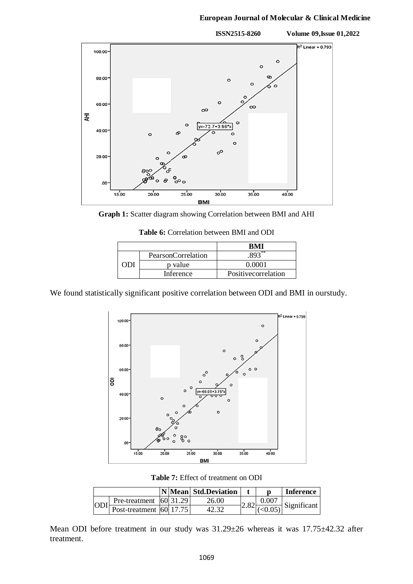

**Graph 1:** Scatter diagram showing Correlation between BMI and AHI

**Table 6:** Correlation between BMI and ODI

|     |                    | RMI                   |  |  |  |
|-----|--------------------|-----------------------|--|--|--|
|     | PearsonCorrelation | $8\overline{93}^{**}$ |  |  |  |
| ЭDI | p value            | 0.0001                |  |  |  |
|     | Inference          | Positivecorrelation   |  |  |  |

We found statistically significant positive correlation between ODI and BMI in ourstudy.



**Table 7:** Effect of treatment on ODI

|            |                             |  | N Mean Std.Deviation |       | <b>Inference</b> |
|------------|-----------------------------|--|----------------------|-------|------------------|
| <b>ODI</b> | Pre-treatment $ 60 31.29 $  |  | 26.00                | 0.00° |                  |
|            | Post-treatment $ 60 $ 17.75 |  |                      |       | Significant      |

Mean ODI before treatment in our study was 31.29±26 whereas it was 17.75±42.32 after treatment.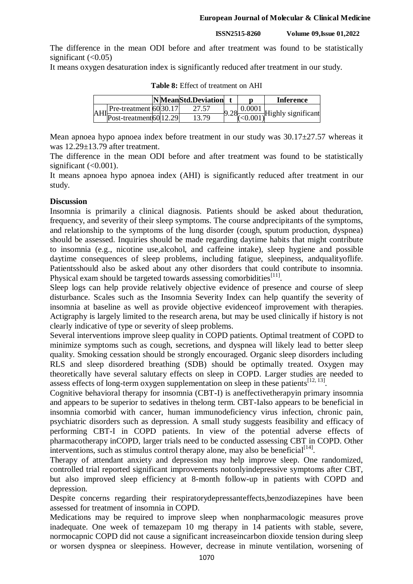**ISSN2515-8260 Volume 09,Issue 01,2022**

The difference in the mean ODI before and after treatment was found to be statistically significant  $(<0.05)$ 

It means oxygen desaturation index is significantly reduced after treatment in our study.

|                         |  | NMeanStd.Deviation |        | Inference          |
|-------------------------|--|--------------------|--------|--------------------|
| Pre-treatment $6030.17$ |  |                    | 0.0001 |                    |
| Post-treatment 60 12.29 |  | 13 70              |        | Highly significant |

**Table 8:** Effect of treatment on AHI

Mean apnoea hypo apnoea index before treatment in our study was 30.17±27.57 whereas it was  $12.29 \pm 13.79$  after treatment.

The difference in the mean ODI before and after treatment was found to be statistically significant  $(<0.001$ ).

It means apnoea hypo apnoea index (AHI) is significantly reduced after treatment in our study.

## **Discussion**

Insomnia is primarily a clinical diagnosis. Patients should be asked about theduration, frequency, and severity of their sleep symptoms. The course andprecipitants of the symptoms, and relationship to the symptoms of the lung disorder (cough, sputum production, dyspnea) should be assessed. Inquiries should be made regarding daytime habits that might contribute to insomnia (e.g., nicotine use,alcohol, and caffeine intake), sleep hygiene and possible daytime consequences of sleep problems, including fatigue, sleepiness, andqualityoflife. Patientsshould also be asked about any other disorders that could contribute to insomnia. Physical exam should be targeted towards assessing comorbidities<sup>[11]</sup>.

Sleep logs can help provide relatively objective evidence of presence and course of sleep disturbance. Scales such as the Insomnia Severity Index can help quantify the severity of insomnia at baseline as well as provide objective evidenceof improvement with therapies. Actigraphy is largely limited to the research arena, but may be used clinically if history is not clearly indicative of type or severity of sleep problems.

Several interventions improve sleep quality in COPD patients. Optimal treatment of COPD to minimize symptoms such as cough, secretions, and dyspnea will likely lead to better sleep quality. Smoking cessation should be strongly encouraged. Organic sleep disorders including RLS and sleep disordered breathing (SDB) should be optimally treated. Oxygen may theoretically have several salutary effects on sleep in COPD. Larger studies are needed to assess effects of long-term oxygen supplementation on sleep in these patients<sup>[12, 13]</sup>.

Cognitive behavioral therapy for insomnia (CBT-I) is aneffectivetherapyin primary insomnia and appears to be superior to sedatives in thelong term. CBT-Ialso appears to be beneficial in insomnia comorbid with cancer, human immunodeficiency virus infection, chronic pain, psychiatric disorders such as depression. A small study suggests feasibility and efficacy of performing CBT-I in COPD patients. In view of the potential adverse effects of pharmacotherapy inCOPD, larger trials need to be conducted assessing CBT in COPD. Other  $\frac{1}{2}$  interventions, such as stimulus control therapy alone, may also be beneficial<sup>[14]</sup>.

Therapy of attendant anxiety and depression may help improve sleep. One randomized, controlled trial reported significant improvements notonlyindepressive symptoms after CBT, but also improved sleep efficiency at 8-month follow-up in patients with COPD and depression.

Despite concerns regarding their respiratorydepressanteffects,benzodiazepines have been assessed for treatment of insomnia in COPD.

Medications may be required to improve sleep when nonpharmacologic measures prove inadequate. One week of temazepam 10 mg therapy in 14 patients with stable, severe, normocapnic COPD did not cause a significant increaseincarbon dioxide tension during sleep or worsen dyspnea or sleepiness. However, decrease in minute ventilation, worsening of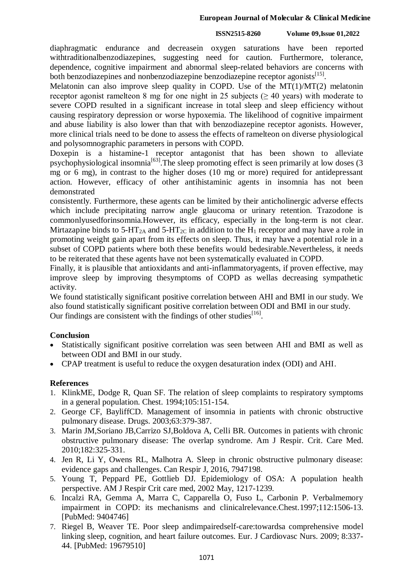#### **ISSN2515-8260 Volume 09,Issue 01,2022**

diaphragmatic endurance and decreasein oxygen saturations have been reported withtraditionalbenzodiazepines, suggesting need for caution. Furthermore, tolerance, dependence, cognitive impairment and abnormal sleep-related behaviors are concerns with both benzodiazepines and nonbenzodiazepine benzodiazepine receptor agonists<sup>[15]</sup>.

Melatonin can also improve sleep quality in COPD. Use of the MT(1)/MT(2) melatonin receptor agonist ramelteon 8 mg for one night in 25 subjects ( $\geq$  40 years) with moderate to severe COPD resulted in a significant increase in total sleep and sleep efficiency without causing respiratory depression or worse hypoxemia. The likelihood of cognitive impairment and abuse liability is also lower than that with benzodiazepine receptor agonists. However, more clinical trials need to be done to assess the effects of ramelteon on diverse physiological and polysomnographic parameters in persons with COPD.

Doxepin is a histamine-1 receptor antagonist that has been shown to alleviate psychophysiological insomnia<sup>[63]</sup>. The sleep promoting effect is seen primarily at low doses  $(3)$ mg or 6 mg), in contrast to the higher doses (10 mg or more) required for antidepressant action. However, efficacy of other antihistaminic agents in insomnia has not been demonstrated

consistently. Furthermore, these agents can be limited by their anticholinergic adverse effects which include precipitating narrow angle glaucoma or urinary retention. Trazodone is commonlyusedforinsomnia.However, its efficacy, especially in the long-term is not clear. Mirtazapine binds to 5-HT<sub>2A</sub> and 5-HT<sub>2C</sub> in addition to the H<sub>1</sub> receptor and may have a role in promoting weight gain apart from its effects on sleep. Thus, it may have a potential role in a subset of COPD patients where both these benefits would bedesirable.Nevertheless, it needs to be reiterated that these agents have not been systematically evaluated in COPD.

Finally, it is plausible that antioxidants and anti-inflammatoryagents, if proven effective, may improve sleep by improving thesymptoms of COPD as wellas decreasing sympathetic activity.

We found statistically significant positive correlation between AHI and BMI in our study. We also found statistically significant positive correlation between ODI and BMI in our study. Our findings are consistent with the findings of other studies<sup>[16]</sup>.

## **Conclusion**

- Statistically significant positive correlation was seen between AHI and BMI as well as between ODI and BMI in our study.
- CPAP treatment is useful to reduce the oxygen desaturation index (ODI) and AHI.

## **References**

- 1. KlinkME, Dodge R, Quan SF. The relation of sleep complaints to respiratory symptoms in a general population. Chest. 1994;105:151-154.
- 2. George CF, BayliffCD. Management of insomnia in patients with chronic obstructive pulmonary disease. Drugs. 2003;63:379-387.
- 3. Marin JM,Soriano JB,Carrizo SJ,Boldova A, Celli BR. Outcomes in patients with chronic obstructive pulmonary disease: The overlap syndrome. Am J Respir. Crit. Care Med. 2010;182:325-331.
- 4. Jen R, Li Y, Owens RL, Malhotra A. Sleep in chronic obstructive pulmonary disease: evidence gaps and challenges. Can Respir J, 2016, 7947198.
- 5. Young T, Peppard PE, Gottlieb DJ. Epidemiology of OSA: A population health perspective. AM J Respir Crit care med, 2002 May, 1217-1239.
- 6. Incalzi RA, Gemma A, Marra C, Capparella O, Fuso L, Carbonin P. Verbalmemory impairment in COPD: its mechanisms and clinicalrelevance.Chest.1997;112:1506-13. [PubMed: 9404746]
- 7. Riegel B, Weaver TE. Poor sleep andimpairedself-care:towardsa comprehensive model linking sleep, cognition, and heart failure outcomes. Eur. J Cardiovasc Nurs. 2009; 8:337- 44. [PubMed: 19679510]